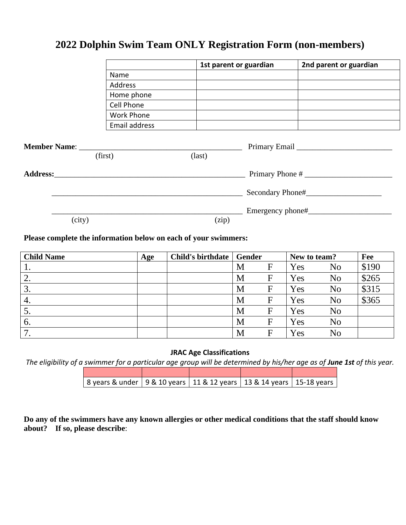# **2022 Dolphin Swim Team ONLY Registration Form (non-members)**

|        |                                                                                                                                                                                                                                | 1st parent or guardian | 2nd parent or guardian |
|--------|--------------------------------------------------------------------------------------------------------------------------------------------------------------------------------------------------------------------------------|------------------------|------------------------|
|        | Name                                                                                                                                                                                                                           |                        |                        |
|        | Address                                                                                                                                                                                                                        |                        |                        |
|        | Home phone                                                                                                                                                                                                                     |                        |                        |
|        | Cell Phone                                                                                                                                                                                                                     |                        |                        |
|        | Work Phone                                                                                                                                                                                                                     |                        |                        |
|        | Email address                                                                                                                                                                                                                  |                        |                        |
|        | (first)                                                                                                                                                                                                                        | $\text{(last)}$        |                        |
|        | Address: the contract of the contract of the contract of the contract of the contract of the contract of the contract of the contract of the contract of the contract of the contract of the contract of the contract of the c |                        | Primary Phone #        |
|        |                                                                                                                                                                                                                                |                        | Secondary Phone#       |
| (city) |                                                                                                                                                                                                                                | (zip)                  |                        |
|        |                                                                                                                                                                                                                                |                        |                        |

# **Please complete the information below on each of your swimmers:**

| <b>Child Name</b> | Age | <b>Child's birthdate</b> | Gender |              | New to team? |                | Fee   |
|-------------------|-----|--------------------------|--------|--------------|--------------|----------------|-------|
| <b>1.</b>         |     |                          | M      | F            | Yes          | N <sub>o</sub> | \$190 |
| 2.                |     |                          | M      | F            | Yes          | N <sub>o</sub> | \$265 |
| 3.                |     |                          | M      | $\mathbf F$  | Yes          | N <sub>o</sub> | \$315 |
| 4.                |     |                          | M      | $\mathbf F$  | Yes          | N <sub>o</sub> | \$365 |
| $\mathcal{D}$ .   |     |                          | M      | $\mathbf F$  | Yes          | N <sub>o</sub> |       |
| 6.                |     |                          | M      | $\mathbf F$  | Yes          | N <sub>o</sub> |       |
| ⇁                 |     |                          | M      | $\mathbf{F}$ | Yes          | N <sub>0</sub> |       |

### **JRAC Age Classifications**

*The eligibility of a swimmer for a particular age group will be determined by his/her age as of June 1st of this year.* 

| 8 years & under   9 & 10 years   11 & 12 years   13 & 14 years   15-18 years |  |  |
|------------------------------------------------------------------------------|--|--|

**Do any of the swimmers have any known allergies or other medical conditions that the staff should know about? If so, please describe**: